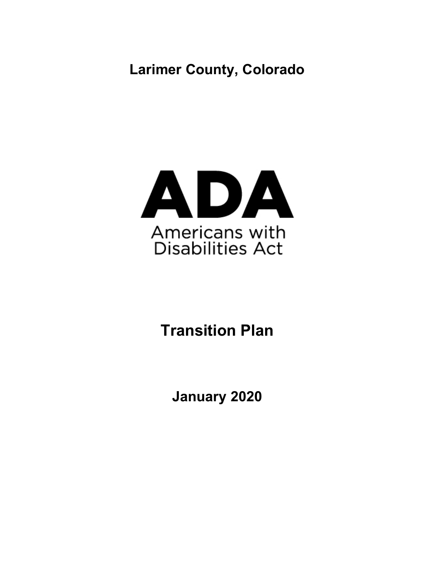**Larimer County, Colorado** 



# **Transition Plan**

**January 2020**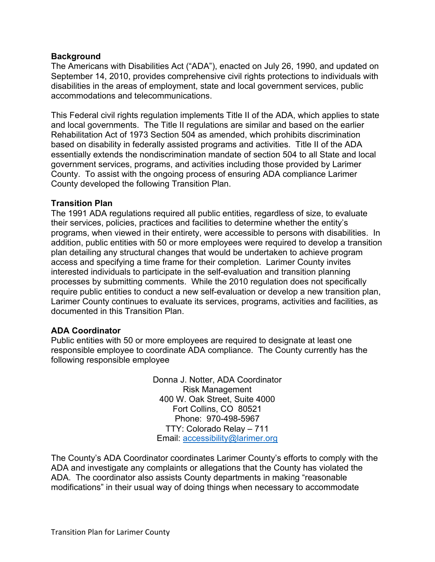# **Background**

 The Americans with Disabilities Act ("ADA"), enacted on July 26, 1990, and updated on September 14, 2010, provides comprehensive civil rights protections to individuals with disabilities in the areas of employment, state and local government services, public accommodations and telecommunications.

 This Federal civil rights regulation implements Title II of the ADA, which applies to state and local governments. The Title II regulations are similar and based on the earlier Rehabilitation Act of 1973 Section 504 as amended, which prohibits discrimination based on disability in federally assisted programs and activities. Title II of the ADA essentially extends the nondiscrimination mandate of section 504 to all State and local government services, programs, and activities including those provided by Larimer County. To assist with the ongoing process of ensuring ADA compliance Larimer County developed the following Transition Plan.

# **Transition Plan**

 The 1991 ADA regulations required all public entities, regardless of size, to evaluate their services, policies, practices and facilities to determine whether the entity's programs, when viewed in their entirety, were accessible to persons with disabilities. In addition, public entities with 50 or more employees were required to develop a transition plan detailing any structural changes that would be undertaken to achieve program access and specifying a time frame for their completion. Larimer County invites interested individuals to participate in the self-evaluation and transition planning processes by submitting comments. While the 2010 regulation does not specifically require public entities to conduct a new self-evaluation or develop a new transition plan, Larimer County continues to evaluate its services, programs, activities and facilities, as documented in this Transition Plan.

## **ADA Coordinator**

 Public entities with 50 or more employees are required to designate at least one responsible employee to coordinate ADA compliance. The County currently has the following responsible employee

> Donna J. Notter, ADA Coordinator 400 W. Oak Street, Suite 4000 Fort Collins, CO 80521 Phone: 970-498-5967 TTY: Colorado Relay – 711 Risk Management Email: [accessibility@larimer.org](mailto:accessibility@larimer.org)

 The County's ADA Coordinator coordinates Larimer County's efforts to comply with the ADA and investigate any complaints or allegations that the County has violated the ADA. The coordinator also assists County departments in making "reasonable modifications" in their usual way of doing things when necessary to accommodate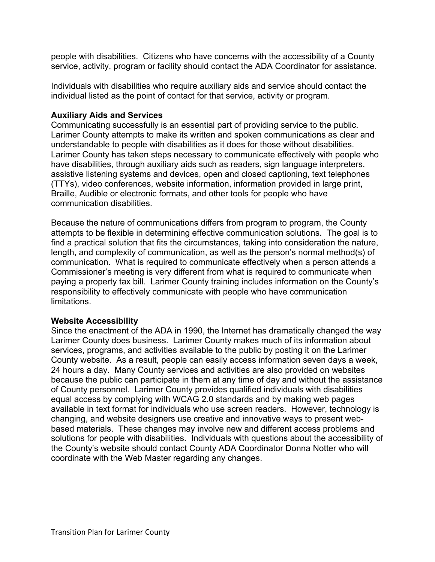people with disabilities. Citizens who have concerns with the accessibility of a County service, activity, program or facility should contact the ADA Coordinator for assistance.

 Individuals with disabilities who require auxiliary aids and service should contact the individual listed as the point of contact for that service, activity or program.

# **Auxiliary Aids and Services**

 Communicating successfully is an essential part of providing service to the public. Larimer County attempts to make its written and spoken communications as clear and understandable to people with disabilities as it does for those without disabilities. Larimer County has taken steps necessary to communicate effectively with people who have disabilities, through auxiliary aids such as readers, sign language interpreters, assistive listening systems and devices, open and closed captioning, text telephones (TTYs), video conferences, website information, information provided in large print, Braille, Audible or electronic formats, and other tools for people who have communication disabilities.

 Because the nature of communications differs from program to program, the County attempts to be flexible in determining effective communication solutions. The goal is to find a practical solution that fits the circumstances, taking into consideration the nature, length, and complexity of communication, as well as the person's normal method(s) of communication. What is required to communicate effectively when a person attends a Commissioner's meeting is very different from what is required to communicate when paying a property tax bill. Larimer County training includes information on the County's responsibility to effectively communicate with people who have communication limitations.

# **Website Accessibility**

 Since the enactment of the ADA in 1990, the Internet has dramatically changed the way Larimer County does business. Larimer County makes much of its information about services, programs, and activities available to the public by posting it on the Larimer County website. As a result, people can easily access information seven days a week, 24 hours a day. Many County services and activities are also provided on websites because the public can participate in them at any time of day and without the assistance of County personnel. Larimer County provides qualified individuals with disabilities equal access by complying with WCAG 2.0 standards and by making web pages available in text format for individuals who use screen readers. However, technology is changing, and website designers use creative and innovative ways to present web- based materials. These changes may involve new and different access problems and solutions for people with disabilities. Individuals with questions about the accessibility of the County's website should contact County ADA Coordinator Donna Notter who will coordinate with the Web Master regarding any changes.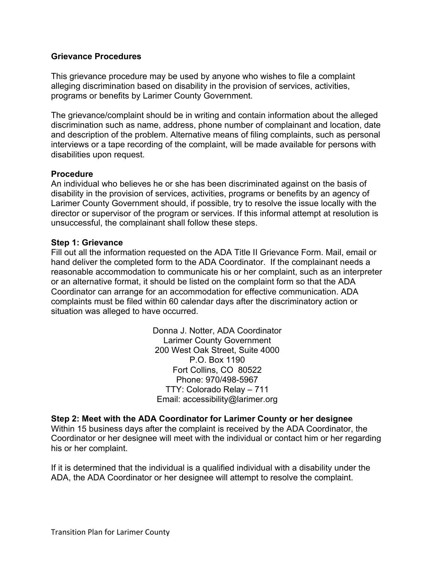# **Grievance Procedures**

 This grievance procedure may be used by anyone who wishes to file a complaint alleging discrimination based on disability in the provision of services, activities, programs or benefits by Larimer County Government.

 The grievance/complaint should be in writing and contain information about the alleged discrimination such as name, address, phone number of complainant and location, date and description of the problem. Alternative means of filing complaints, such as personal interviews or a tape recording of the complaint, will be made available for persons with disabilities upon request.

# **Procedure**

 An individual who believes he or she has been discriminated against on the basis of disability in the provision of services, activities, programs or benefits by an agency of Larimer County Government should, if possible, try to resolve the issue locally with the director or supervisor of the program or services. If this informal attempt at resolution is unsuccessful, the complainant shall follow these steps.

# **Step 1: Grievance**

 Fill out all the information requested on the ADA Title II Grievance Form. Mail, email or hand deliver the completed form to the ADA Coordinator. If the complainant needs a reasonable accommodation to communicate his or her complaint, such as an interpreter or an alternative format, it should be listed on the complaint form so that the ADA Coordinator can arrange for an accommodation for effective communication. ADA complaints must be filed within 60 calendar days after the discriminatory action or situation was alleged to have occurred.

> Donna J. Notter, ADA Coordinator 200 West Oak Street, Suite 4000 P.O. Box 1190 Fort Collins, CO 80522 TTY: Colorado Relay – 711 Larimer County Government Phone: 970/498-5967 Email: [accessibility@larimer.org](mailto:accessibility@larimer.org)

## **Step 2: Meet with the ADA Coordinator for Larimer County or her designee**

 Within 15 business days after the complaint is received by the ADA Coordinator, the Coordinator or her designee will meet with the individual or contact him or her regarding his or her complaint.

 If it is determined that the individual is a qualified individual with a disability under the ADA, the ADA Coordinator or her designee will attempt to resolve the complaint.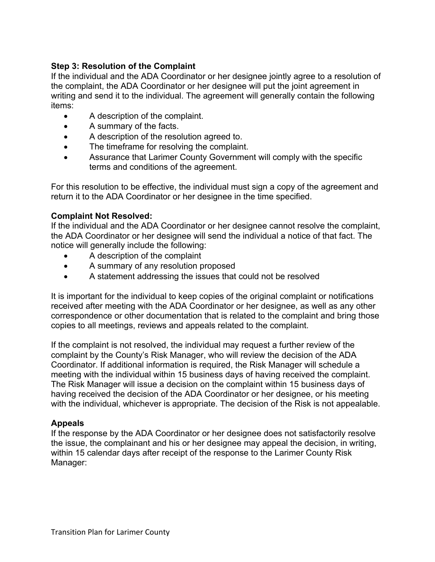# **Step 3: Resolution of the Complaint**

 If the individual and the ADA Coordinator or her designee jointly agree to a resolution of the complaint, the ADA Coordinator or her designee will put the joint agreement in writing and send it to the individual. The agreement will generally contain the following items:

- A description of the complaint.
- A summary of the facts.
- A description of the resolution agreed to.
- $\bullet$ The timeframe for resolving the complaint.
- • Assurance that Larimer County Government will comply with the specific terms and conditions of the agreement.

 For this resolution to be effective, the individual must sign a copy of the agreement and return it to the ADA Coordinator or her designee in the time specified.

# **Complaint Not Resolved:**

 If the individual and the ADA Coordinator or her designee cannot resolve the complaint, the ADA Coordinator or her designee will send the individual a notice of that fact. The notice will generally include the following:

- A description of the complaint
- A summary of any resolution proposed
- A statement addressing the issues that could not be resolved

 It is important for the individual to keep copies of the original complaint or notifications received after meeting with the ADA Coordinator or her designee, as well as any other correspondence or other documentation that is related to the complaint and bring those copies to all meetings, reviews and appeals related to the complaint.

 If the complaint is not resolved, the individual may request a further review of the complaint by the County's Risk Manager, who will review the decision of the ADA Coordinator. If additional information is required, the Risk Manager will schedule a meeting with the individual within 15 business days of having received the complaint. The Risk Manager will issue a decision on the complaint within 15 business days of having received the decision of the ADA Coordinator or her designee, or his meeting with the individual, whichever is appropriate. The decision of the Risk is not appealable.

# **Appeals**

 If the response by the ADA Coordinator or her designee does not satisfactorily resolve the issue, the complainant and his or her designee may appeal the decision, in writing, within 15 calendar days after receipt of the response to the Larimer County Risk Manager: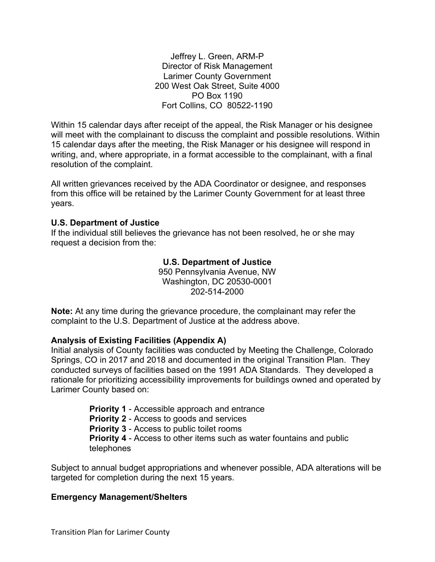Jeffrey L. Green, ARM-P 200 West Oak Street, Suite 4000 PO Box 1190 Fort Collins, CO 80522-1190 Director of Risk Management Larimer County Government

 Within 15 calendar days after receipt of the appeal, the Risk Manager or his designee will meet with the complainant to discuss the complaint and possible resolutions. Within 15 calendar days after the meeting, the Risk Manager or his designee will respond in writing, and, where appropriate, in a format accessible to the complainant, with a final resolution of the complaint.

 All written grievances received by the ADA Coordinator or designee, and responses from this office will be retained by the Larimer County Government for at least three years.

# **U.S. Department of Justice**

 If the individual still believes the grievance has not been resolved, he or she may request a decision from the:

# **U.S. Department of Justice**

 950 Pennsylvania Avenue, NW Washington, DC 20530-0001 202-514-2000

 **Note:** At any time during the grievance procedure, the complainant may refer the complaint to the U.S. Department of Justice at the address above.

# **Analysis of Existing Facilities (Appendix A)**

 Initial analysis of County facilities was conducted by Meeting the Challenge, Colorado Springs, CO in 2017 and 2018 and documented in the original Transition Plan. They conducted surveys of facilities based on the 1991 ADA Standards. They developed a rationale for prioritizing accessibility improvements for buildings owned and operated by Larimer County based on:

> **Priority 1** - Accessible approach and entrance **Priority 2** - Access to goods and services **Priority 3** - Access to public toilet rooms **Priority 4** - Access to other items such as water fountains and public telephones

 Subject to annual budget appropriations and whenever possible, ADA alterations will be targeted for completion during the next 15 years.

# **Emergency Management/Shelters**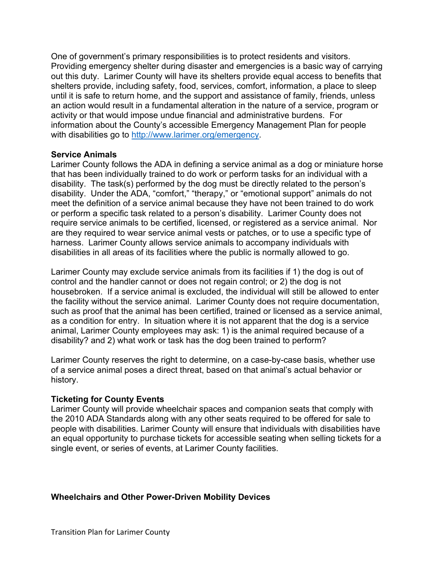One of government's primary responsibilities is to protect residents and visitors. Providing emergency shelter during disaster and emergencies is a basic way of carrying out this duty. Larimer County will have its shelters provide equal access to benefits that shelters provide, including safety, food, services, comfort, information, a place to sleep until it is safe to return home, and the support and assistance of family, friends, unless an action would result in a fundamental alteration in the nature of a service, program or activity or that would impose undue financial and administrative burdens. For information about the County's accessible Emergency Management Plan for people with disabilities go to [http://www.larimer.org/emergency.](http://www.larimer.org/emergency)

## **Service Animals**

 Larimer County follows the ADA in defining a service animal as a dog or miniature horse that has been individually trained to do work or perform tasks for an individual with a disability. The task(s) performed by the dog must be directly related to the person's disability. Under the ADA, "comfort," "therapy," or "emotional support" animals do not meet the definition of a service animal because they have not been trained to do work or perform a specific task related to a person's disability. Larimer County does not require service animals to be certified, licensed, or registered as a service animal. Nor are they required to wear service animal vests or patches, or to use a specific type of harness. Larimer County allows service animals to accompany individuals with disabilities in all areas of its facilities where the public is normally allowed to go.

 Larimer County may exclude service animals from its facilities if 1) the dog is out of control and the handler cannot or does not regain control; or 2) the dog is not housebroken. If a service animal is excluded, the individual will still be allowed to enter the facility without the service animal. Larimer County does not require documentation, such as proof that the animal has been certified, trained or licensed as a service animal, as a condition for entry. In situation where it is not apparent that the dog is a service animal, Larimer County employees may ask: 1) is the animal required because of a disability? and 2) what work or task has the dog been trained to perform?

 Larimer County reserves the right to determine, on a case-by-case basis, whether use of a service animal poses a direct threat, based on that animal's actual behavior or history.

## **Ticketing for County Events**

 Larimer County will provide wheelchair spaces and companion seats that comply with the 2010 ADA Standards along with any other seats required to be offered for sale to people with disabilities. Larimer County will ensure that individuals with disabilities have an equal opportunity to purchase tickets for accessible seating when selling tickets for a single event, or series of events, at Larimer County facilities.

## **Wheelchairs and Other Power-Driven Mobility Devices**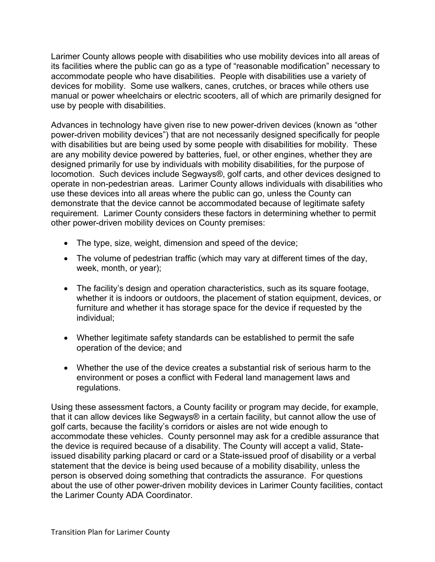Larimer County allows people with disabilities who use mobility devices into all areas of its facilities where the public can go as a type of "reasonable modification" necessary to accommodate people who have disabilities. People with disabilities use a variety of devices for mobility. Some use walkers, canes, crutches, or braces while others use manual or power wheelchairs or electric scooters, all of which are primarily designed for use by people with disabilities.

 Advances in technology have given rise to new power-driven devices (known as "other power-driven mobility devices") that are not necessarily designed specifically for people with disabilities but are being used by some people with disabilities for mobility. These are any mobility device powered by batteries, fuel, or other engines, whether they are designed primarily for use by individuals with mobility disabilities, for the purpose of locomotion. Such devices include Segways®, golf carts, and other devices designed to operate in non-pedestrian areas. Larimer County allows individuals with disabilities who use these devices into all areas where the public can go, unless the County can demonstrate that the device cannot be accommodated because of legitimate safety requirement. Larimer County considers these factors in determining whether to permit other power-driven mobility devices on County premises:

- The type, size, weight, dimension and speed of the device;
- • The volume of pedestrian traffic (which may vary at different times of the day, week, month, or year);
- • The facility's design and operation characteristics, such as its square footage, whether it is indoors or outdoors, the placement of station equipment, devices, or furniture and whether it has storage space for the device if requested by the individual;
- • Whether legitimate safety standards can be established to permit the safe operation of the device; and
- • Whether the use of the device creates a substantial risk of serious harm to the environment or poses a conflict with Federal land management laws and regulations.

 Using these assessment factors, a County facility or program may decide, for example, that it can allow devices like Segways® in a certain facility, but cannot allow the use of golf carts, because the facility's corridors or aisles are not wide enough to accommodate these vehicles. County personnel may ask for a credible assurance that the device is required because of a disability. The County will accept a valid, State- issued disability parking placard or card or a State-issued proof of disability or a verbal statement that the device is being used because of a mobility disability, unless the person is observed doing something that contradicts the assurance. For questions about the use of other power-driven mobility devices in Larimer County facilities, contact the Larimer County ADA Coordinator.